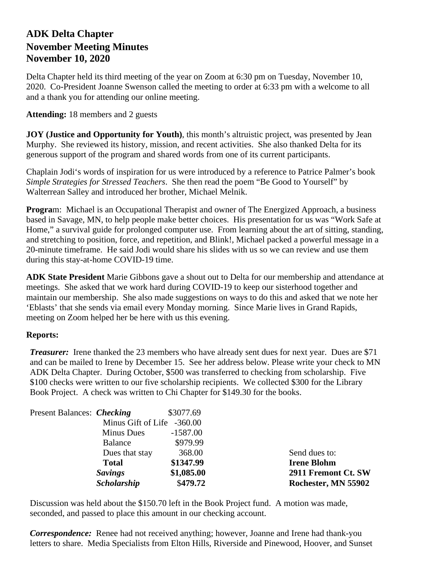## **ADK Delta Chapter November Meeting Minutes November 10, 2020**

Delta Chapter held its third meeting of the year on Zoom at 6:30 pm on Tuesday, November 10, 2020. Co-President Joanne Swenson called the meeting to order at 6:33 pm with a welcome to all and a thank you for attending our online meeting.

## **Attending:** 18 members and 2 guests

**JOY (Justice and Opportunity for Youth)**, this month's altruistic project, was presented by Jean Murphy.She reviewed its history, mission, and recent activities. She also thanked Delta for its generous support of the program and shared words from one of its current participants.

Chaplain Jodi's words of inspiration for us were introduced by a reference to Patrice Palmer's book *Simple Strategies for Stressed Teachers*. She then read the poem "Be Good to Yourself" by Walterrean Salley and introduced her brother, Michael Melnik.

**Progra**m: Michael is an Occupational Therapist and owner of The Energized Approach, a business based in Savage, MN, to help people make better choices. His presentation for us was "Work Safe at Home," a survival guide for prolonged computer use. From learning about the art of sitting, standing, and stretching to position, force, and repetition, and Blink!, Michael packed a powerful message in a 20-minute timeframe. He said Jodi would share his slides with us so we can review and use them during this stay-at-home COVID-19 time.

**ADK State President** Marie Gibbons gave a shout out to Delta for our membership and attendance at meetings. She asked that we work hard during COVID-19 to keep our sisterhood together and maintain our membership. She also made suggestions on ways to do this and asked that we note her 'Eblasts' that she sends via email every Monday morning. Since Marie lives in Grand Rapids, meeting on Zoom helped her be here with us this evening.

## **Reports:**

*Treasurer:* Irene thanked the 23 members who have already sent dues for next year. Dues are \$71 and can be mailed to Irene by December 15. See her address below. Please write your check to MN ADK Delta Chapter. During October, \$500 was transferred to checking from scholarship. Five \$100 checks were written to our five scholarship recipients. We collected \$300 for the Library Book Project. A check was written to Chi Chapter for \$149.30 for the books.

| Present Balances: <i>Checking</i> |                            | \$3077.69  |                     |
|-----------------------------------|----------------------------|------------|---------------------|
|                                   | Minus Gift of Life -360.00 |            |                     |
|                                   | Minus Dues                 | $-1587.00$ |                     |
|                                   | <b>Balance</b>             | \$979.99   |                     |
|                                   | Dues that stay             | 368.00     | Send dues to:       |
|                                   | <b>Total</b>               | \$1347.99  | <b>Irene Blohm</b>  |
|                                   | <b>Savings</b>             | \$1,085.00 | 2911 Fremont Ct. SW |
|                                   | <b>Scholarship</b>         | \$479.72   | Rochester, MN 55902 |

Discussion was held about the \$150.70 left in the Book Project fund. A motion was made, seconded, and passed to place this amount in our checking account.

*Correspondence:* Renee had not received anything; however, Joanne and Irene had thank-you letters to share. Media Specialists from Elton Hills, Riverside and Pinewood, Hoover, and Sunset